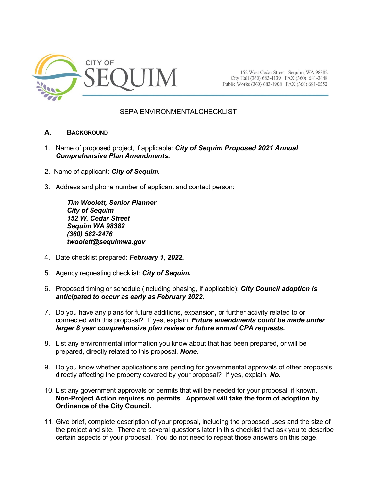

152 West Cedar Street Sequim, WA 98382 City Hall (360) 683-4139 FAX (360) 681-3448 Public Works (360) 683-4908 FAX (360) 681-0552

# SEPA ENVIRONMENTALCHECKLIST

# **A. BACKGROUND**

- 1. Name of proposed project, if applicable: *City of Sequim Proposed 2021 Annual Comprehensive Plan Amendments.*
- 2. Name of applicant: *City of Sequim.*
- 3. Address and phone number of applicant and contact person:

*Tim Woolett, Senior Planner City of Sequim 152 W. Cedar Street Sequim WA 98382 (360) 582-2476 twoolett@sequimwa.gov*

- 4. Date checklist prepared: *February 1, 2022.*
- 5. Agency requesting checklist: *City of Sequim.*
- 6. Proposed timing or schedule (including phasing, if applicable): *City Council adoption is anticipated to occur as early as February 2022***.**
- 7. Do you have any plans for future additions, expansion, or further activity related to or connected with this proposal? If yes, explain*. Future amendments could be made under larger 8 year comprehensive plan review or future annual CPA requests.*
- 8. List any environmental information you know about that has been prepared, or will be prepared, directly related to this proposal. *None.*
- 9. Do you know whether applications are pending for governmental approvals of other proposals directly affecting the property covered by your proposal? If yes, explain. *No.*
- 10. List any government approvals or permits that will be needed for your proposal, if known. **Non-Project Action requires no permits. Approval will take the form of adoption by Ordinance of the City Council.**
- 11. Give brief, complete description of your proposal, including the proposed uses and the size of the project and site. There are several questions later in this checklist that ask you to describe certain aspects of your proposal. You do not need to repeat those answers on this page.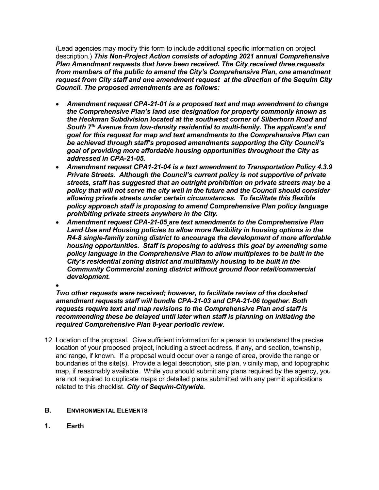(Lead agencies may modify this form to include additional specific information on project description.) *This Non-Project Action consists of adopting 2021 annual Comprehensive Plan Amendment requests that have been received. The City received three requests from members of the public to amend the City's Comprehensive Plan, one amendment request from City staff and one amendment request at the direction of the Sequim City Council. The proposed amendments are as follows:*

- *Amendment request CPA-21-01 is a proposed text and map amendment to change the Comprehensive Plan's land use designation for property commonly known as the Heckman Subdivision located at the southwest corner of Silberhorn Road and South 7th Avenue from low-density residential to multi-family. The applicant's end goal for this request for map and text amendments to the Comprehensive Plan can be achieved through staff's proposed amendments supporting the City Council's goal of providing more affordable housing opportunities throughout the City as addressed in CPA-21-05.*
- *Amendment request CPA1-21-04 is a text amendment to Transportation Policy 4.3.9 Private Streets. Although the Council's current policy is not supportive of private streets, staff has suggested that an outright prohibition on private streets may be a policy that will not serve the city well in the future and the Council should consider allowing private streets under certain circumstances. To facilitate this flexible policy approach staff is proposing to amend Comprehensive Plan policy language prohibiting private streets anywhere in the City.*
- *Amendment request CPA-21-05 are text amendments to the Comprehensive Plan Land Use and Housing policies to allow more flexibility in housing options in the R4-8 single-family zoning district to encourage the development of more affordable housing opportunities. Staff is proposing to address this goal by amending some policy language in the Comprehensive Plan to allow multiplexes to be built in the City's residential zoning district and multifamily housing to be built in the Community Commercial zoning district without ground floor retail/commercial development.*
- •

*Two other requests were received; however, to facilitate review of the docketed amendment requests staff will bundle CPA-21-03 and CPA-21-06 together. Both requests require text and map revisions to the Comprehensive Plan and staff is recommending these be delayed until later when staff is planning on initiating the required Comprehensive Plan 8-year periodic review.*

12. Location of the proposal. Give sufficient information for a person to understand the precise location of your proposed project, including a street address, if any, and section, township, and range, if known. If a proposal would occur over a range of area, provide the range or boundaries of the site(s). Provide a legal description, site plan, vicinity map, and topographic map, if reasonably available. While you should submit any plans required by the agency, you are not required to duplicate maps or detailed plans submitted with any permit applications related to this checklist. *City of Sequim-Citywide***.**

# **B. ENVIRONMENTAL ELEMENTS**

**1. Earth**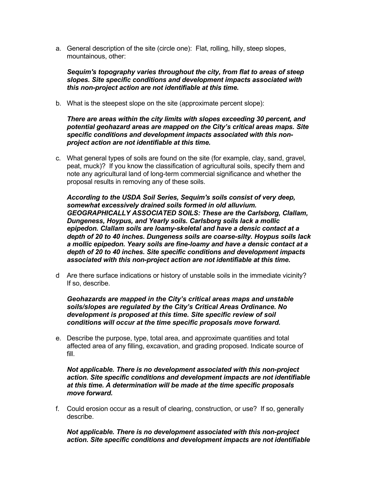a. General description of the site (circle one): Flat, rolling, hilly, steep slopes, mountainous, other:

*Sequim's topography varies throughout the city, from flat to areas of steep slopes. Site specific conditions and development impacts associated with this non-project action are not identifiable at this time.*

b. What is the steepest slope on the site (approximate percent slope):

*There are areas within the city limits with slopes exceeding 30 percent, and potential geohazard areas are mapped on the City's critical areas maps. Site specific conditions and development impacts associated with this nonproject action are not identifiable at this time.* 

c. What general types of soils are found on the site (for example, clay, sand, gravel, peat, muck)? If you know the classification of agricultural soils, specify them and note any agricultural land of long-term commercial significance and whether the proposal results in removing any of these soils.

*According to the USDA Soil Series, Sequim's soils consist of very deep, somewhat excessively drained soils formed in old alluvium. GEOGRAPHICALLY ASSOCIATED SOILS: These are the Carlsborg, Clallam, Dungeness, Hoypus, and Yearly soils. Carlsborg soils lack a mollic epipedon. Clallam soils are loamy-skeletal and have a densic contact at a depth of 20 to 40 inches. Dungeness soils are coarse-silty. Hoypus soils lack a mollic epipedon. Yeary soils are fine-loamy and have a densic contact at a depth of 20 to 40 inches. Site specific conditions and development impacts associated with this non-project action are not identifiable at this time.*

d Are there surface indications or history of unstable soils in the immediate vicinity? If so, describe.

*Geohazards are mapped in the City's critical areas maps and unstable soils/slopes are regulated by the City's Critical Areas Ordinance. No development is proposed at this time. Site specific review of soil conditions will occur at the time specific proposals move forward.*

e. Describe the purpose, type, total area, and approximate quantities and total affected area of any filling, excavation, and grading proposed. Indicate source of fill.

*Not applicable. There is no development associated with this non-project action. Site specific conditions and development impacts are not identifiable at this time. A determination will be made at the time specific proposals move forward.*

f. Could erosion occur as a result of clearing, construction, or use? If so, generally describe.

*Not applicable. There is no development associated with this non-project action. Site specific conditions and development impacts are not identifiable*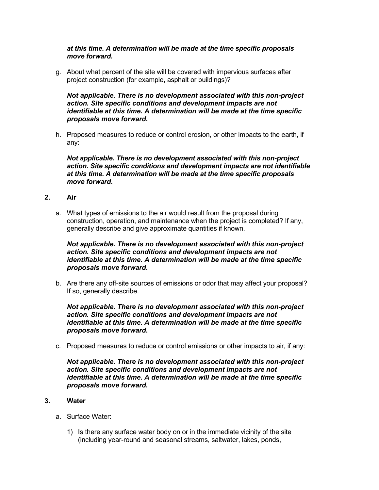# *at this time. A determination will be made at the time specific proposals move forward.*

g. About what percent of the site will be covered with impervious surfaces after project construction (for example, asphalt or buildings)?

*Not applicable. There is no development associated with this non-project action. Site specific conditions and development impacts are not identifiable at this time. A determination will be made at the time specific proposals move forward***.**

h. Proposed measures to reduce or control erosion, or other impacts to the earth, if any:

*Not applicable. There is no development associated with this non-project action. Site specific conditions and development impacts are not identifiable at this time. A determination will be made at the time specific proposals move forward***.**

- **2. Air**
	- a. What types of emissions to the air would result from the proposal during construction, operation, and maintenance when the project is completed? If any, generally describe and give approximate quantities if known.

# *Not applicable. There is no development associated with this non-project action. Site specific conditions and development impacts are not identifiable at this time. A determination will be made at the time specific proposals move forward***.**

b. Are there any off-site sources of emissions or odor that may affect your proposal? If so, generally describe.

*Not applicable. There is no development associated with this non-project action. Site specific conditions and development impacts are not identifiable at this time. A determination will be made at the time specific proposals move forward***.** 

c. Proposed measures to reduce or control emissions or other impacts to air, if any:

*Not applicable. There is no development associated with this non-project action. Site specific conditions and development impacts are not identifiable at this time. A determination will be made at the time specific proposals move forward.* 

### **3. Water**

- a. Surface Water:
	- 1) Is there any surface water body on or in the immediate vicinity of the site (including year-round and seasonal streams, saltwater, lakes, ponds,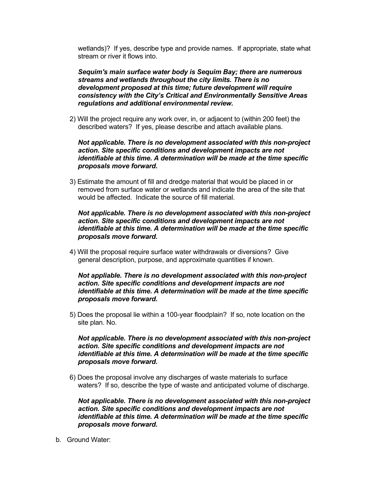wetlands)? If yes, describe type and provide names. If appropriate, state what stream or river it flows into.

*Sequim's main surface water body is Sequim Bay; there are numerous streams and wetlands throughout the city limits. There is no development proposed at this time; future development will require consistency with the City's Critical and Environmentally Sensitive Areas regulations and additional environmental review.*

2) Will the project require any work over, in, or adjacent to (within 200 feet) the described waters? If yes, please describe and attach available plans.

*Not applicable. There is no development associated with this non-project action. Site specific conditions and development impacts are not identifiable at this time. A determination will be made at the time specific proposals move forward***.** 

3) Estimate the amount of fill and dredge material that would be placed in or removed from surface water or wetlands and indicate the area of the site that would be affected. Indicate the source of fill material.

*Not applicable. There is no development associated with this non-project action. Site specific conditions and development impacts are not identifiable at this time. A determination will be made at the time specific proposals move forward.*

4) Will the proposal require surface water withdrawals or diversions? Give general description, purpose, and approximate quantities if known.

*Not appliable. There is no development associated with this non-project action. Site specific conditions and development impacts are not identifiable at this time. A determination will be made at the time specific proposals move forward***.** 

5) Does the proposal lie within a 100-year floodplain? If so, note location on the site plan. No.

*Not applicable. There is no development associated with this non-project action. Site specific conditions and development impacts are not identifiable at this time. A determination will be made at the time specific proposals move forward***.**

6) Does the proposal involve any discharges of waste materials to surface waters? If so, describe the type of waste and anticipated volume of discharge.

*Not applicable. There is no development associated with this non-project action. Site specific conditions and development impacts are not identifiable at this time. A determination will be made at the time specific proposals move forward***.** 

b. Ground Water: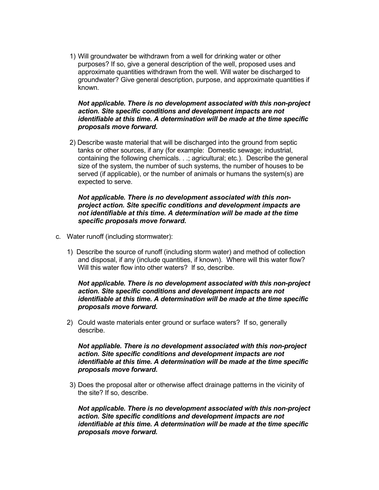1) Will groundwater be withdrawn from a well for drinking water or other purposes? If so, give a general description of the well, proposed uses and approximate quantities withdrawn from the well. Will water be discharged to groundwater? Give general description, purpose, and approximate quantities if known.

#### *Not applicable. There is no development associated with this non-project action. Site specific conditions and development impacts are not identifiable at this time. A determination will be made at the time specific proposals move forward***.**

2) Describe waste material that will be discharged into the ground from septic tanks or other sources, if any (for example: Domestic sewage; industrial, containing the following chemicals. . .; agricultural; etc.). Describe the general size of the system, the number of such systems, the number of houses to be served (if applicable), or the number of animals or humans the system(s) are expected to serve.

# *Not applicable. There is no development associated with this nonproject action. Site specific conditions and development impacts are not identifiable at this time. A determination will be made at the time specific proposals move forward***.**

- c. Water runoff (including stormwater):
	- 1) Describe the source of runoff (including storm water) and method of collection and disposal, if any (include quantities, if known). Where will this water flow? Will this water flow into other waters? If so, describe.

*Not applicable. There is no development associated with this non-project action. Site specific conditions and development impacts are not identifiable at this time. A determination will be made at the time specific proposals move forward***.** 

2) Could waste materials enter ground or surface waters? If so, generally describe.

*Not appliable. There is no development associated with this non-project action. Site specific conditions and development impacts are not identifiable at this time. A determination will be made at the time specific proposals move forward***.** 

3) Does the proposal alter or otherwise affect drainage patterns in the vicinity of the site? If so, describe.

*Not applicable. There is no development associated with this non-project action. Site specific conditions and development impacts are not identifiable at this time. A determination will be made at the time specific proposals move forward.*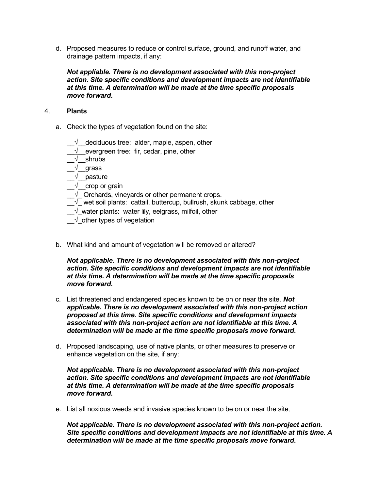d. Proposed measures to reduce or control surface, ground, and runoff water, and drainage pattern impacts, if any:

*Not appliable. There is no development associated with this non-project action. Site specific conditions and development impacts are not identifiable at this time. A determination will be made at the time specific proposals move forward***.** 

# 4. **Plants**

a. Check the types of vegetation found on the site:

 $\sqrt{\phantom{a}}$  deciduous tree: alder, maple, aspen, other

 $\sqrt{\phantom{a}}$  evergreen tree: fir, cedar, pine, other

\_\_√\_\_shrubs

\_\_√\_\_grass

 $\sqrt{ }$  pasture

 $\sqrt{\phantom{a}}$  crop or grain

 $\sqrt{ }$  Orchards, vineyards or other permanent crops.

- $\overline{-\sqrt{ }}$  wet soil plants: cattail, buttercup, bullrush, skunk cabbage, other
- $\sqrt{ }$  water plants: water lily, eelgrass, milfoil, other

 $\sqrt{\ }$  other types of vegetation

b. What kind and amount of vegetation will be removed or altered?

*Not applicable. There is no development associated with this non-project action. Site specific conditions and development impacts are not identifiable at this time. A determination will be made at the time specific proposals move forward***.**

- c. List threatened and endangered species known to be on or near the site. *Not applicable. There is no development associated with this non-project action proposed at this time. Site specific conditions and development impacts associated with this non-project action are not identifiable at this time. A determination will be made at the time specific proposals move forward***.**
- d. Proposed landscaping, use of native plants, or other measures to preserve or enhance vegetation on the site, if any:

*Not applicable. There is no development associated with this non-project action. Site specific conditions and development impacts are not identifiable at this time. A determination will be made at the time specific proposals move forward***.**

e. List all noxious weeds and invasive species known to be on or near the site.

*Not applicable. There is no development associated with this non-project action. Site specific conditions and development impacts are not identifiable at this time. A determination will be made at the time specific proposals move forward***.**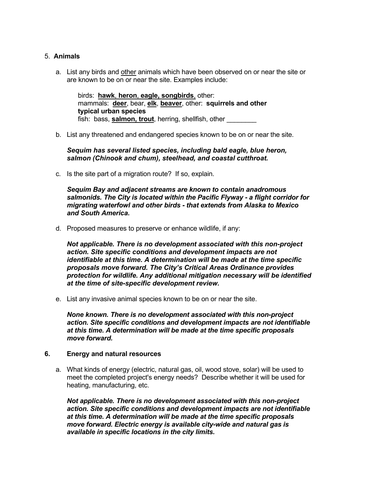# 5. **Animals**

a. List any birds and other animals which have been observed on or near the site or are known to be on or near the site. Examples include:

birds: **hawk**, **heron**, **eagle, songbirds**, other: mammals: **deer**, bear, **elk**, **beaver**, other: **squirrels and other typical urban species** fish: bass, **salmon, trout**, herring, shellfish, other

b. List any threatened and endangered species known to be on or near the site.

*Sequim has several listed species, including bald eagle, blue heron, salmon (Chinook and chum), steelhead, and coastal cutthroat.*

c. Is the site part of a migration route? If so, explain.

*Sequim Bay and adjacent streams are known to contain anadromous salmonids. The City is located within the Pacific Flyway - a flight corridor for migrating waterfowl and other birds - that extends from Alaska to Mexico and South America***.** 

d. Proposed measures to preserve or enhance wildlife, if any:

*Not applicable. There is no development associated with this non-project action. Site specific conditions and development impacts are not identifiable at this time. A determination will be made at the time specific proposals move forward. The City's Critical Areas Ordinance provides protection for wildlife. Any additional mitigation necessary will be identified at the time of site-specific development review.*

e. List any invasive animal species known to be on or near the site.

*None known. There is no development associated with this non-project action. Site specific conditions and development impacts are not identifiable at this time. A determination will be made at the time specific proposals move forward.*

### **6. Energy and natural resources**

a. What kinds of energy (electric, natural gas, oil, wood stove, solar) will be used to meet the completed project's energy needs? Describe whether it will be used for heating, manufacturing, etc.

*Not applicable. There is no development associated with this non-project action. Site specific conditions and development impacts are not identifiable at this time. A determination will be made at the time specific proposals move forward. Electric energy is available city-wide and natural gas is available in specific locations in the city limits***.**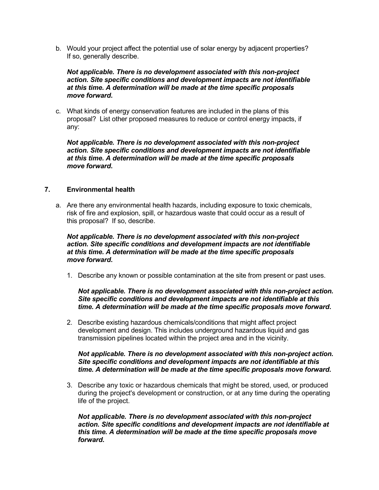b. Would your project affect the potential use of solar energy by adjacent properties? If so, generally describe.

# *Not applicable. There is no development associated with this non-project action. Site specific conditions and development impacts are not identifiable at this time. A determination will be made at the time specific proposals move forward***.**

c. What kinds of energy conservation features are included in the plans of this proposal? List other proposed measures to reduce or control energy impacts, if any:

*Not applicable. There is no development associated with this non-project action. Site specific conditions and development impacts are not identifiable at this time. A determination will be made at the time specific proposals move forward***.** 

# **7. Environmental health**

a. Are there any environmental health hazards, including exposure to toxic chemicals, risk of fire and explosion, spill, or hazardous waste that could occur as a result of this proposal? If so, describe.

# *Not applicable. There is no development associated with this non-project action. Site specific conditions and development impacts are not identifiable at this time. A determination will be made at the time specific proposals move forward***.**

1. Describe any known or possible contamination at the site from present or past uses.

# *Not applicable. There is no development associated with this non-project action. Site specific conditions and development impacts are not identifiable at this time. A determination will be made at the time specific proposals move forward***.**

2. Describe existing hazardous chemicals/conditions that might affect project development and design. This includes underground hazardous liquid and gas transmission pipelines located within the project area and in the vicinity.

# *Not applicable. There is no development associated with this non-project action. Site specific conditions and development impacts are not identifiable at this time. A determination will be made at the time specific proposals move forward.*

3. Describe any toxic or hazardous chemicals that might be stored, used, or produced during the project's development or construction, or at any time during the operating life of the project.

*Not applicable. There is no development associated with this non-project action. Site specific conditions and development impacts are not identifiable at this time. A determination will be made at the time specific proposals move forward***.**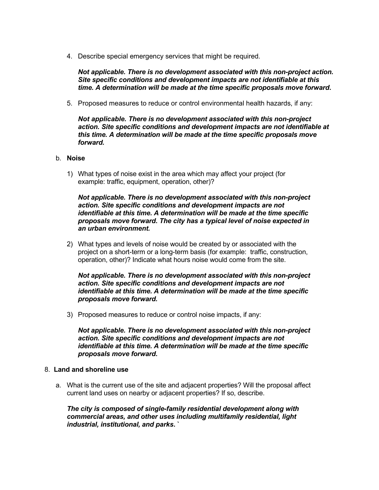4. Describe special emergency services that might be required.

*Not applicable. There is no development associated with this non-project action. Site specific conditions and development impacts are not identifiable at this time. A determination will be made at the time specific proposals move forward***.** 

5. Proposed measures to reduce or control environmental health hazards, if any:

*Not applicable. There is no development associated with this non-project action. Site specific conditions and development impacts are not identifiable at this time. A determination will be made at the time specific proposals move forward.*

### b. **Noise**

1) What types of noise exist in the area which may affect your project (for example: traffic, equipment, operation, other)?

*Not applicable. There is no development associated with this non-project action. Site specific conditions and development impacts are not identifiable at this time. A determination will be made at the time specific proposals move forward***.** *The city has a typical level of noise expected in an urban environment.*

2) What types and levels of noise would be created by or associated with the project on a short-term or a long-term basis (for example: traffic, construction, operation, other)? Indicate what hours noise would come from the site.

*Not applicable. There is no development associated with this non-project action. Site specific conditions and development impacts are not identifiable at this time. A determination will be made at the time specific proposals move forward.*

3) Proposed measures to reduce or control noise impacts, if any:

*Not applicable. There is no development associated with this non-project action. Site specific conditions and development impacts are not identifiable at this time. A determination will be made at the time specific proposals move forward***.**

### 8. **Land and shoreline use**

a. What is the current use of the site and adjacent properties? Will the proposal affect current land uses on nearby or adjacent properties? If so, describe.

*The city is composed of single-family residential development along with commercial areas, and other uses including multifamily residential, light industrial, institutional, and parks***. `**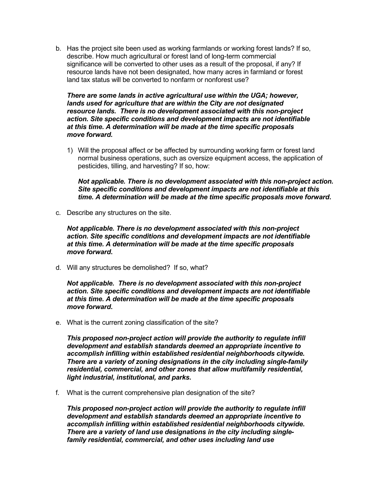b. Has the project site been used as working farmlands or working forest lands? If so, describe. How much agricultural or forest land of long-term commercial significance will be converted to other uses as a result of the proposal, if any? If resource lands have not been designated, how many acres in farmland or forest land tax status will be converted to nonfarm or nonforest use?

*There are some lands in active agricultural use within the UGA; however, lands used for agriculture that are within the City are not designated resource lands. There is no development associated with this non-project action. Site specific conditions and development impacts are not identifiable at this time. A determination will be made at the time specific proposals move forward.* 

1) Will the proposal affect or be affected by surrounding working farm or forest land normal business operations, such as oversize equipment access, the application of pesticides, tilling, and harvesting? If so, how:

*Not applicable. There is no development associated with this non-project action. Site specific conditions and development impacts are not identifiable at this time. A determination will be made at the time specific proposals move forward***.**

c. Describe any structures on the site.

*Not applicable. There is no development associated with this non-project action. Site specific conditions and development impacts are not identifiable at this time. A determination will be made at the time specific proposals move forward***.** 

d. Will any structures be demolished? If so, what?

*Not applicable. There is no development associated with this non-project action. Site specific conditions and development impacts are not identifiable at this time. A determination will be made at the time specific proposals move forward***.** 

e. What is the current zoning classification of the site?

*This proposed non-project action will provide the authority to regulate infill development and establish standards deemed an appropriate incentive to accomplish infilling within established residential neighborhoods citywide. There are a variety of zoning designations in the city including single-family residential, commercial, and other zones that allow multifamily residential, light industrial, institutional, and parks.*

f. What is the current comprehensive plan designation of the site?

*This proposed non-project action will provide the authority to regulate infill development and establish standards deemed an appropriate incentive to accomplish infilling within established residential neighborhoods citywide. There are a variety of land use designations in the city including singlefamily residential, commercial, and other uses including land use*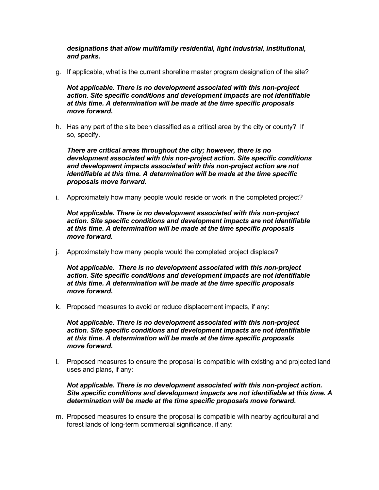*designations that allow multifamily residential, light industrial, institutional, and parks***.**

g. If applicable, what is the current shoreline master program designation of the site?

*Not applicable. There is no development associated with this non-project action. Site specific conditions and development impacts are not identifiable at this time. A determination will be made at the time specific proposals move forward.*

h. Has any part of the site been classified as a critical area by the city or county? If so, specify.

*There are critical areas throughout the city; however, there is no development associated with this non-project action. Site specific conditions and development impacts associated with this non-project action are not identifiable at this time. A determination will be made at the time specific proposals move forward***.**

i. Approximately how many people would reside or work in the completed project?

*Not applicable. There is no development associated with this non-project action. Site specific conditions and development impacts are not identifiable at this time. A determination will be made at the time specific proposals move forward.*

j. Approximately how many people would the completed project displace?

*Not applicable. There is no development associated with this non-project action. Site specific conditions and development impacts are not identifiable at this time. A determination will be made at the time specific proposals move forward.*

k. Proposed measures to avoid or reduce displacement impacts, if any:

*Not applicable. There is no development associated with this non-project action. Site specific conditions and development impacts are not identifiable at this time. A determination will be made at the time specific proposals move forward***.**

l. Proposed measures to ensure the proposal is compatible with existing and projected land uses and plans, if any:

*Not applicable. There is no development associated with this non-project action. Site specific conditions and development impacts are not identifiable at this time. A determination will be made at the time specific proposals move forward***.**

m. Proposed measures to ensure the proposal is compatible with nearby agricultural and forest lands of long-term commercial significance, if any: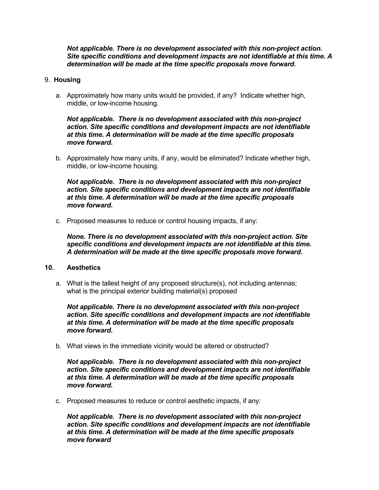*Not applicable. There is no development associated with this non-project action. Site specific conditions and development impacts are not identifiable at this time. A determination will be made at the time specific proposals move forward***.**

#### 9. **Housing**

a. Approximately how many units would be provided, if any? Indicate whether high, middle, or low-income housing.

*Not applicable. There is no development associated with this non-project action. Site specific conditions and development impacts are not identifiable at this time. A determination will be made at the time specific proposals move forward***.**

b. Approximately how many units, if any, would be eliminated? Indicate whether high, middle, or low-income housing.

*Not applicable. There is no development associated with this non-project action. Site specific conditions and development impacts are not identifiable at this time. A determination will be made at the time specific proposals move forward***.** 

c. Proposed measures to reduce or control housing impacts, if any:

*None. There is no development associated with this non-project action. Site specific conditions and development impacts are not identifiable at this time. A determination will be made at the time specific proposals move forward***.**

#### **10. Aesthetics**

a. What is the tallest height of any proposed structure(s), not including antennas; what is the principal exterior building material(s) proposed

*Not applicable. There is no development associated with this non-project action. Site specific conditions and development impacts are not identifiable at this time. A determination will be made at the time specific proposals move forward***.** 

b. What views in the immediate vicinity would be altered or obstructed?

*Not applicable. There is no development associated with this non-project action. Site specific conditions and development impacts are not identifiable at this time. A determination will be made at the time specific proposals move forward***.**

c. Proposed measures to reduce or control aesthetic impacts, if any:

*Not applicable. There is no development associated with this non-project action. Site specific conditions and development impacts are not identifiable at this time. A determination will be made at the time specific proposals move forward*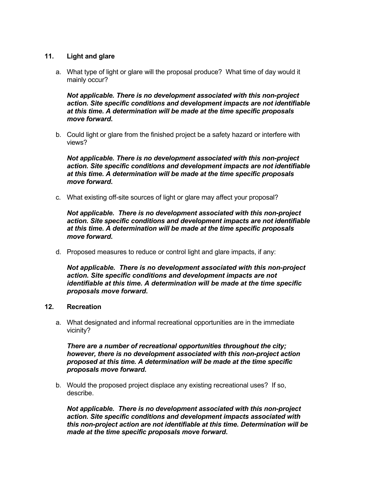# **11. Light and glare**

a. What type of light or glare will the proposal produce? What time of day would it mainly occur?

*Not applicable. There is no development associated with this non-project action. Site specific conditions and development impacts are not identifiable at this time. A determination will be made at the time specific proposals move forward***.**

b. Could light or glare from the finished project be a safety hazard or interfere with views?

*Not applicable. There is no development associated with this non-project action. Site specific conditions and development impacts are not identifiable at this time. A determination will be made at the time specific proposals move forward***.**

c. What existing off-site sources of light or glare may affect your proposal?

*Not applicable. There is no development associated with this non-project action. Site specific conditions and development impacts are not identifiable at this time. A determination will be made at the time specific proposals move forward***.**

d. Proposed measures to reduce or control light and glare impacts, if any:

*Not applicable. There is no development associated with this non-project action. Site specific conditions and development impacts are not identifiable at this time. A determination will be made at the time specific proposals move forward***.**

# **12. Recreation**

a. What designated and informal recreational opportunities are in the immediate vicinity?

*There are a number of recreational opportunities throughout the city; however, there is no development associated with this non-project action proposed at this time. A determination will be made at the time specific proposals move forward***.**

b. Would the proposed project displace any existing recreational uses? If so, describe.

*Not applicable. There is no development associated with this non-project action. Site specific conditions and development impacts associated with this non-project action are not identifiable at this time. Determination will be made at the time specific proposals move forward***.**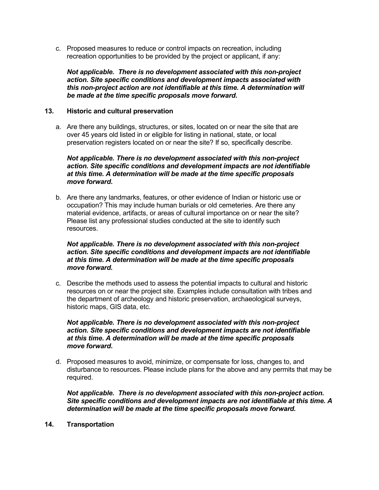c. Proposed measures to reduce or control impacts on recreation, including recreation opportunities to be provided by the project or applicant, if any:

*Not applicable. There is no development associated with this non-project action. Site specific conditions and development impacts associated with this non-project action are not identifiable at this time. A determination will be made at the time specific proposals move forward***.** 

# **13. Historic and cultural preservation**

a. Are there any buildings, structures, or sites, located on or near the site that are over 45 years old listed in or eligible for listing in national, state, or local preservation registers located on or near the site? If so, specifically describe.

*Not applicable. There is no development associated with this non-project action. Site specific conditions and development impacts are not identifiable at this time. A determination will be made at the time specific proposals move forward***.**

b. Are there any landmarks, features, or other evidence of Indian or historic use or occupation? This may include human burials or old cemeteries. Are there any material evidence, artifacts, or areas of cultural importance on or near the site? Please list any professional studies conducted at the site to identify such resources.

*Not applicable. There is no development associated with this non-project action. Site specific conditions and development impacts are not identifiable at this time. A determination will be made at the time specific proposals move forward.*

c. Describe the methods used to assess the potential impacts to cultural and historic resources on or near the project site. Examples include consultation with tribes and the department of archeology and historic preservation, archaeological surveys, historic maps, GIS data, etc.

*Not applicable. There is no development associated with this non-project action. Site specific conditions and development impacts are not identifiable at this time. A determination will be made at the time specific proposals move forward***.**

d. Proposed measures to avoid, minimize, or compensate for loss, changes to, and disturbance to resources. Please include plans for the above and any permits that may be required.

*Not applicable. There is no development associated with this non-project action. Site specific conditions and development impacts are not identifiable at this time. A determination will be made at the time specific proposals move forward.*

**14. Transportation**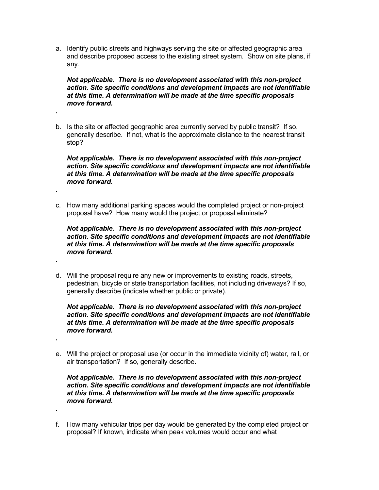a. Identify public streets and highways serving the site or affected geographic area and describe proposed access to the existing street system. Show on site plans, if any.

*Not applicable. There is no development associated with this non-project action. Site specific conditions and development impacts are not identifiable at this time. A determination will be made at the time specific proposals move forward.*

b. Is the site or affected geographic area currently served by public transit? If so, generally describe. If not, what is the approximate distance to the nearest transit stop?

**.** 

**.**

**.**

**.**

**.**

*Not applicable. There is no development associated with this non-project action. Site specific conditions and development impacts are not identifiable at this time. A determination will be made at the time specific proposals move forward.*

c. How many additional parking spaces would the completed project or non-project proposal have? How many would the project or proposal eliminate?

*Not applicable. There is no development associated with this non-project action. Site specific conditions and development impacts are not identifiable at this time. A determination will be made at the time specific proposals move forward.*

d. Will the proposal require any new or improvements to existing roads, streets, pedestrian, bicycle or state transportation facilities, not including driveways? If so, generally describe (indicate whether public or private).

*Not applicable. There is no development associated with this non-project action. Site specific conditions and development impacts are not identifiable at this time. A determination will be made at the time specific proposals move forward.*

e. Will the project or proposal use (or occur in the immediate vicinity of) water, rail, or air transportation? If so, generally describe.

*Not applicable. There is no development associated with this non-project action. Site specific conditions and development impacts are not identifiable at this time. A determination will be made at the time specific proposals move forward.*

f. How many vehicular trips per day would be generated by the completed project or proposal? If known, indicate when peak volumes would occur and what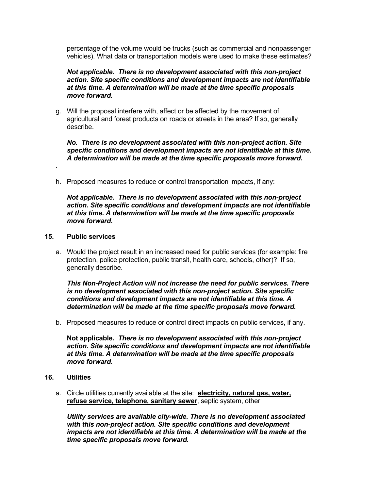percentage of the volume would be trucks (such as commercial and nonpassenger vehicles). What data or transportation models were used to make these estimates?

# *Not applicable. There is no development associated with this non-project action. Site specific conditions and development impacts are not identifiable at this time. A determination will be made at the time specific proposals move forward.*

g. Will the proposal interfere with, affect or be affected by the movement of agricultural and forest products on roads or streets in the area? If so, generally describe.

*No. There is no development associated with this non-project action. Site specific conditions and development impacts are not identifiable at this time. A determination will be made at the time specific proposals move forward.*

h. Proposed measures to reduce or control transportation impacts, if any:

*Not applicable. There is no development associated with this non-project action. Site specific conditions and development impacts are not identifiable at this time. A determination will be made at the time specific proposals move forward.*

#### **15. Public services**

**.** 

a. Would the project result in an increased need for public services (for example: fire protection, police protection, public transit, health care, schools, other)? If so, generally describe.

*This Non-Project Action will not increase the need for public services. There is no development associated with this non-project action. Site specific conditions and development impacts are not identifiable at this time. A determination will be made at the time specific proposals move forward.*

b. Proposed measures to reduce or control direct impacts on public services, if any.

**Not applicable.** *There is no development associated with this non-project action. Site specific conditions and development impacts are not identifiable at this time. A determination will be made at the time specific proposals move forward.*

#### **16. Utilities**

a. Circle utilities currently available at the site: **electricity, natural gas, water, refuse service, telephone, sanitary sewer**, septic system, other

*Utility services are available city-wide. There is no development associated with this non-project action. Site specific conditions and development impacts are not identifiable at this time. A determination will be made at the time specific proposals move forward.*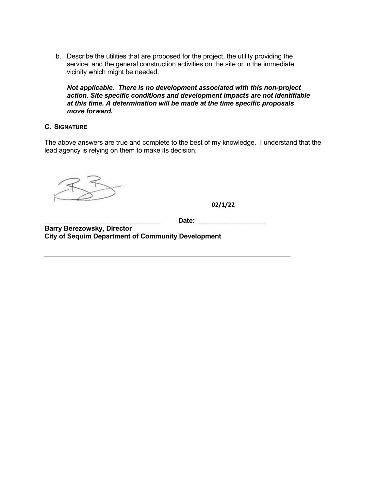b. Describe the utilities that are proposed for the project, the utility providing the service, and the general construction activities on the site or in the immediate vicinity which might be needed.

*Not applicable. There is no development associated with this non-project action. Site specific conditions and development impacts are not identifiable at this time. A determination will be made at the time specific proposals move forward.*

# **C. SIGNATURE**

The above answers are true and complete to the best of my knowledge. I understand that the lead agency is relying on them to make its decision.

**02/1/22**

\_\_\_\_\_\_\_\_\_\_\_\_\_\_\_\_\_\_\_\_\_\_\_\_\_\_\_\_\_\_\_ **Date:** \_\_\_\_\_\_\_\_\_\_\_\_\_\_\_\_\_\_

**Barry Berezowsky, Director City of Sequim Department of Community Development**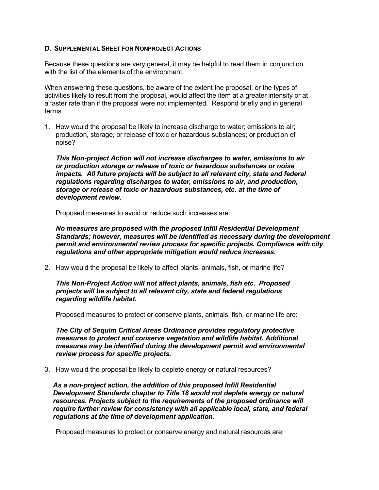### **D. SUPPLEMENTAL SHEET FOR NONPROJECT ACTIONS**

Because these questions are very general, it may be helpful to read them in conjunction with the list of the elements of the environment.

When answering these questions, be aware of the extent the proposal, or the types of activities likely to result from the proposal, would affect the item at a greater intensity or at a faster rate than if the proposal were not implemented. Respond briefly and in general terms.

1. How would the proposal be likely to increase discharge to water; emissions to air; production, storage, or release of toxic or hazardous substances; or production of noise?

*This Non-project Action will not increase discharges to water, emissions to air or production storage or release of toxic or hazardous substances or noise impacts. All future projects will be subject to all relevant city, state and federal regulations regarding discharges to water, emissions to air, and production, storage or release of toxic or hazardous substances, etc. at the time of development review.*

Proposed measures to avoid or reduce such increases are:

*No measures are proposed with the proposed Infill Residential Development Standards; however, measures will be identified as necessary during the development permit and environmental review process for specific projects. Compliance with city regulations and other appropriate mitigation would reduce increases.*

2. How would the proposal be likely to affect plants, animals, fish, or marine life?

*This Non-Project Action will not affect plants, animals, fish etc. Proposed projects will be subject to all relevant city, state and federal regulations regarding wildlife habitat.*

Proposed measures to protect or conserve plants, animals, fish, or marine life are:

*The City of Sequim Critical Areas Ordinance provides regulatory protective measures to protect and conserve vegetation and wildlife habitat. Additional measures may be identified during the development permit and environmental review process for specific projects***.**

3. How would the proposal be likely to deplete energy or natural resources?

*As a non-project action, the addition of this proposed Infill Residential Development Standards chapter to Title 18 would not deplete energy or natural resources. Projects subject to the requirements of the proposed ordinance will require further review for consistency with all applicable local, state, and federal regulations at the time of development application***.** 

Proposed measures to protect or conserve energy and natural resources are: